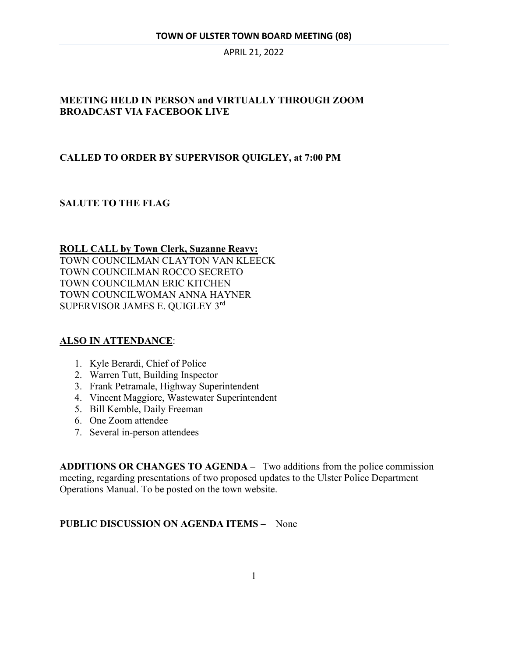### **MEETING HELD IN PERSON and VIRTUALLY THROUGH ZOOM BROADCAST VIA FACEBOOK LIVE**

### **CALLED TO ORDER BY SUPERVISOR QUIGLEY, at 7:00 PM**

### **SALUTE TO THE FLAG**

#### **ROLL CALL by Town Clerk, Suzanne Reavy:**

TOWN COUNCILMAN CLAYTON VAN KLEECK TOWN COUNCILMAN ROCCO SECRETO TOWN COUNCILMAN ERIC KITCHEN TOWN COUNCILWOMAN ANNA HAYNER SUPERVISOR JAMES E. QUIGLEY 3rd

#### **ALSO IN ATTENDANCE**:

- 1. Kyle Berardi, Chief of Police
- 2. Warren Tutt, Building Inspector
- 3. Frank Petramale, Highway Superintendent
- 4. Vincent Maggiore, Wastewater Superintendent
- 5. Bill Kemble, Daily Freeman
- 6. One Zoom attendee
- 7. Several in-person attendees

**ADDITIONS OR CHANGES TO AGENDA –** Two additions from the police commission meeting, regarding presentations of two proposed updates to the Ulster Police Department Operations Manual. To be posted on the town website.

#### **PUBLIC DISCUSSION ON AGENDA ITEMS –** None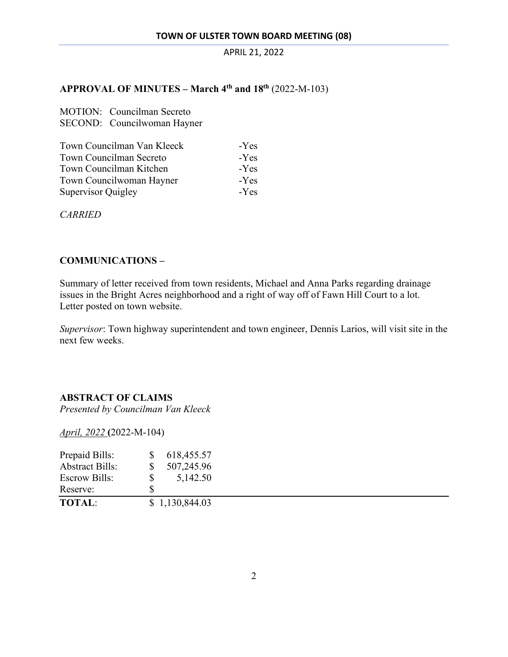## **APPROVAL OF MINUTES – March 4th and 18th** (2022-M-103)

|                           | <b>MOTION:</b> Councilman Secreto<br>SECOND: Councilwoman Hayner                 |                            |
|---------------------------|----------------------------------------------------------------------------------|----------------------------|
|                           | Town Councilman Van Kleeck<br>Town Councilman Secreto<br>Town Councilman Kitchen | $-Yes$<br>$-Yes$<br>$-Yes$ |
| <b>Supervisor Quigley</b> | Town Councilwoman Hayner                                                         | $-Yes$<br>$-Yes$           |

*CARRIED* 

### **COMMUNICATIONS –**

Summary of letter received from town residents, Michael and Anna Parks regarding drainage issues in the Bright Acres neighborhood and a right of way off of Fawn Hill Court to a lot. Letter posted on town website.

*Supervisor*: Town highway superintendent and town engineer, Dennis Larios, will visit site in the next few weeks.

#### **ABSTRACT OF CLAIMS**

*Presented by Councilman Van Kleeck* 

*April, 2022* **(**2022-M-104)

| Prepaid Bills:         | \$. | 618,455.57     |
|------------------------|-----|----------------|
| <b>Abstract Bills:</b> | S   | 507,245.96     |
| <b>Escrow Bills:</b>   | S   | 5,142.50       |
| Reserve:               | S   |                |
| <b>TOTAL:</b>          |     | \$1,130,844.03 |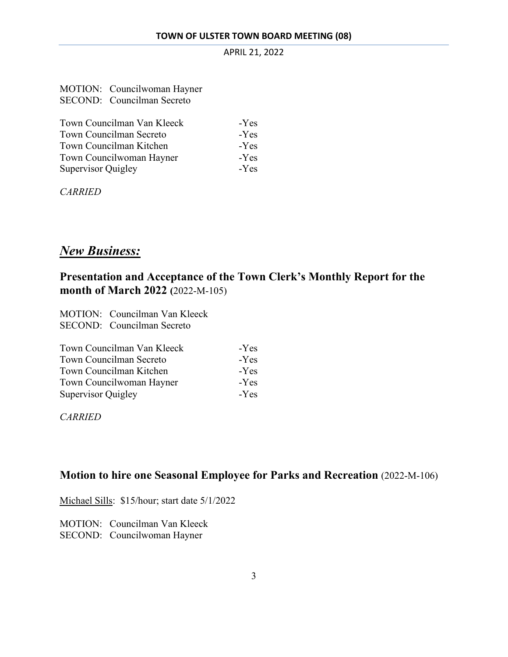| MOTION: Councilwoman Hayner |
|-----------------------------|
| SECOND: Councilman Secreto  |

| Town Councilman Van Kleeck     | -Yes   |
|--------------------------------|--------|
| <b>Town Councilman Secreto</b> | $-Yes$ |
| Town Councilman Kitchen        | -Yes   |
| Town Councilwoman Hayner       | -Yes   |
| Supervisor Quigley             | $-Yes$ |

*CARRIED* 

## *New Business:*

## **Presentation and Acceptance of the Town Clerk's Monthly Report for the month of March 2022 (**2022-M-105)

MOTION: Councilman Van Kleeck SECOND: Councilman Secreto

| Town Councilman Van Kleeck     | $-Yes$ |
|--------------------------------|--------|
| <b>Town Councilman Secreto</b> | $-Yes$ |
| Town Councilman Kitchen        | $-Yes$ |
| Town Councilwoman Hayner       | -Yes   |
| <b>Supervisor Quigley</b>      | $-Yes$ |

*CARRIED* 

## **Motion to hire one Seasonal Employee for Parks and Recreation** (2022-M-106)

Michael Sills: \$15/hour; start date 5/1/2022

MOTION: Councilman Van Kleeck SECOND: Councilwoman Hayner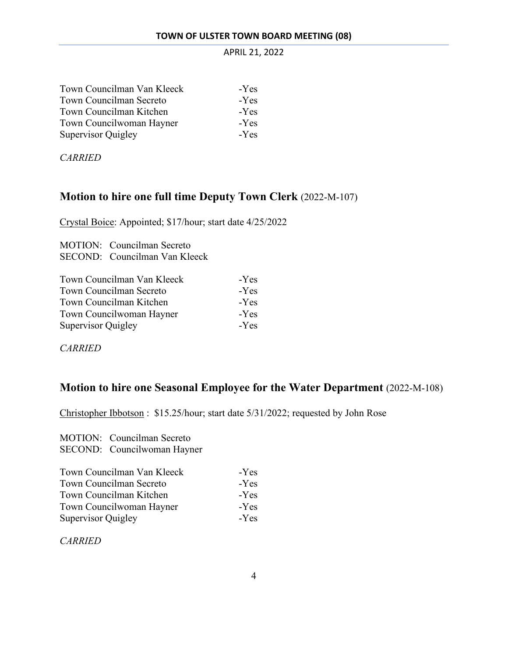| Town Councilman Van Kleeck     | -Yes   |
|--------------------------------|--------|
| <b>Town Councilman Secreto</b> | $-Yes$ |
| Town Councilman Kitchen        | $-Yes$ |
| Town Councilwoman Hayner       | $-Yes$ |
| <b>Supervisor Quigley</b>      | $-Yes$ |

*CARRIED* 

## **Motion to hire one full time Deputy Town Clerk** (2022-M-107)

Crystal Boice: Appointed; \$17/hour; start date 4/25/2022

MOTION: Councilman Secreto SECOND: Councilman Van Kleeck

| Town Councilman Van Kleeck | -Yes   |
|----------------------------|--------|
| Town Councilman Secreto    | -Yes   |
| Town Councilman Kitchen    | $-Yes$ |
| Town Councilwoman Hayner   | -Yes   |
| Supervisor Quigley         | $-Yes$ |

*CARRIED* 

## **Motion to hire one Seasonal Employee for the Water Department** (2022-M-108)

Christopher Ibbotson : \$15.25/hour; start date 5/31/2022; requested by John Rose

MOTION: Councilman Secreto SECOND: Councilwoman Hayner

| Town Councilman Van Kleeck | $-Yes$ |
|----------------------------|--------|
| Town Councilman Secreto    | $-Yes$ |
| Town Councilman Kitchen    | $-Yes$ |
| Town Councilwoman Hayner   | $-Yes$ |
| Supervisor Quigley         | $-Yes$ |

*CARRIED*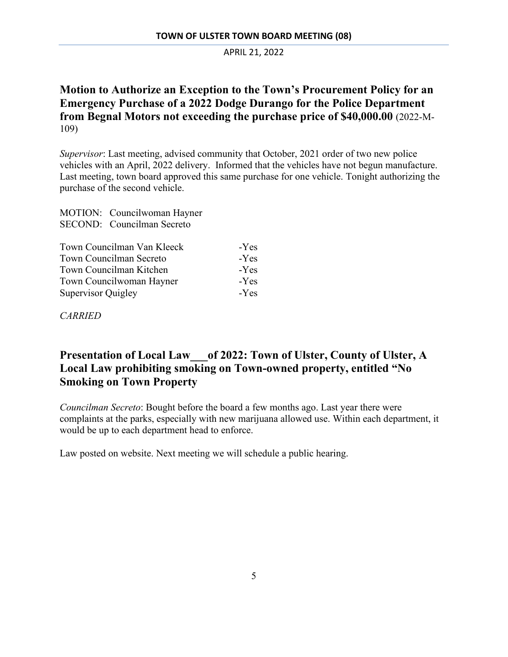## **Motion to Authorize an Exception to the Town's Procurement Policy for an Emergency Purchase of a 2022 Dodge Durango for the Police Department from Begnal Motors not exceeding the purchase price of \$40,000.00** (2022-M-109)

*Supervisor*: Last meeting, advised community that October, 2021 order of two new police vehicles with an April, 2022 delivery. Informed that the vehicles have not begun manufacture. Last meeting, town board approved this same purchase for one vehicle. Tonight authorizing the purchase of the second vehicle.

MOTION: Councilwoman Hayner SECOND: Councilman Secreto

| Town Councilman Van Kleeck | -Yes   |
|----------------------------|--------|
| Town Councilman Secreto    | -Yes   |
| Town Councilman Kitchen    | -Yes   |
| Town Councilwoman Hayner   | $-Yes$ |
| Supervisor Quigley         | -Yes   |

*CARRIED*

## **Presentation of Local Law\_\_\_of 2022: Town of Ulster, County of Ulster, A Local Law prohibiting smoking on Town-owned property, entitled "No Smoking on Town Property**

*Councilman Secreto*: Bought before the board a few months ago. Last year there were complaints at the parks, especially with new marijuana allowed use. Within each department, it would be up to each department head to enforce.

Law posted on website. Next meeting we will schedule a public hearing.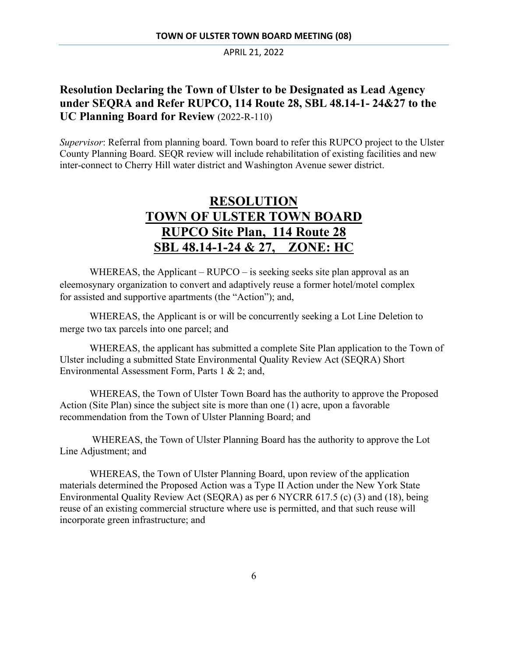## **Resolution Declaring the Town of Ulster to be Designated as Lead Agency under SEQRA and Refer RUPCO, 114 Route 28, SBL 48.14-1- 24&27 to the UC Planning Board for Review** (2022-R-110)

*Supervisor*: Referral from planning board. Town board to refer this RUPCO project to the Ulster County Planning Board. SEQR review will include rehabilitation of existing facilities and new inter-connect to Cherry Hill water district and Washington Avenue sewer district.

# **RESOLUTION TOWN OF ULSTER TOWN BOARD RUPCO Site Plan, 114 Route 28 SBL 48.14-1-24 & 27, ZONE: HC**

WHEREAS, the Applicant – RUPCO – is seeking seeks site plan approval as an eleemosynary organization to convert and adaptively reuse a former hotel/motel complex for assisted and supportive apartments (the "Action"); and,

WHEREAS, the Applicant is or will be concurrently seeking a Lot Line Deletion to merge two tax parcels into one parcel; and

WHEREAS, the applicant has submitted a complete Site Plan application to the Town of Ulster including a submitted State Environmental Quality Review Act (SEQRA) Short Environmental Assessment Form, Parts 1 & 2; and,

WHEREAS, the Town of Ulster Town Board has the authority to approve the Proposed Action (Site Plan) since the subject site is more than one (1) acre, upon a favorable recommendation from the Town of Ulster Planning Board; and

 WHEREAS, the Town of Ulster Planning Board has the authority to approve the Lot Line Adjustment; and

WHEREAS, the Town of Ulster Planning Board, upon review of the application materials determined the Proposed Action was a Type II Action under the New York State Environmental Quality Review Act (SEQRA) as per 6 NYCRR 617.5 (c) (3) and (18), being reuse of an existing commercial structure where use is permitted, and that such reuse will incorporate green infrastructure; and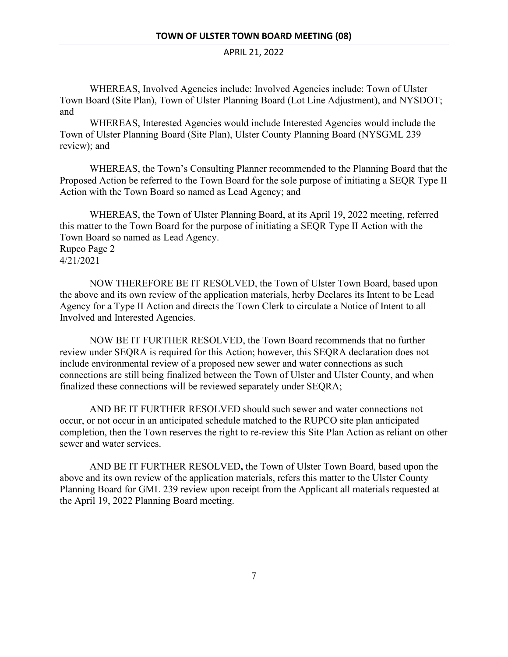WHEREAS, Involved Agencies include: Involved Agencies include: Town of Ulster Town Board (Site Plan), Town of Ulster Planning Board (Lot Line Adjustment), and NYSDOT; and

WHEREAS, Interested Agencies would include Interested Agencies would include the Town of Ulster Planning Board (Site Plan), Ulster County Planning Board (NYSGML 239 review); and

WHEREAS, the Town's Consulting Planner recommended to the Planning Board that the Proposed Action be referred to the Town Board for the sole purpose of initiating a SEQR Type II Action with the Town Board so named as Lead Agency; and

WHEREAS, the Town of Ulster Planning Board, at its April 19, 2022 meeting, referred this matter to the Town Board for the purpose of initiating a SEQR Type II Action with the Town Board so named as Lead Agency. Rupco Page 2 4/21/2021

NOW THEREFORE BE IT RESOLVED, the Town of Ulster Town Board, based upon the above and its own review of the application materials, herby Declares its Intent to be Lead Agency for a Type II Action and directs the Town Clerk to circulate a Notice of Intent to all Involved and Interested Agencies.

NOW BE IT FURTHER RESOLVED, the Town Board recommends that no further review under SEQRA is required for this Action; however, this SEQRA declaration does not include environmental review of a proposed new sewer and water connections as such connections are still being finalized between the Town of Ulster and Ulster County, and when finalized these connections will be reviewed separately under SEQRA;

AND BE IT FURTHER RESOLVED should such sewer and water connections not occur, or not occur in an anticipated schedule matched to the RUPCO site plan anticipated completion, then the Town reserves the right to re-review this Site Plan Action as reliant on other sewer and water services.

AND BE IT FURTHER RESOLVED**,** the Town of Ulster Town Board, based upon the above and its own review of the application materials, refers this matter to the Ulster County Planning Board for GML 239 review upon receipt from the Applicant all materials requested at the April 19, 2022 Planning Board meeting.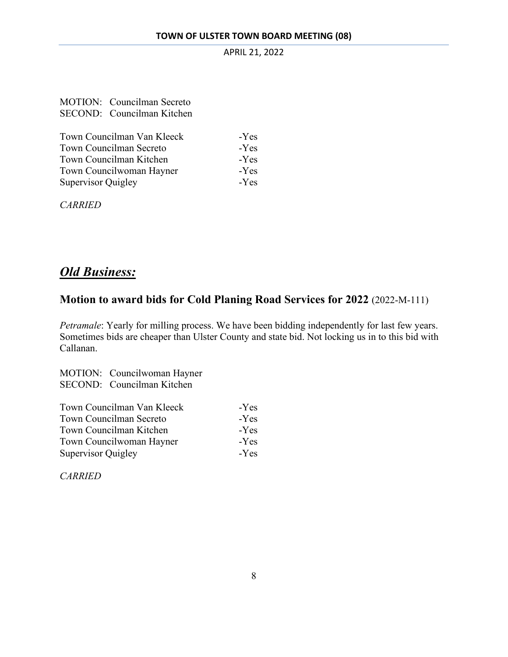| MOTION: Councilman Secreto |
|----------------------------|
| SECOND: Councilman Kitchen |

| Town Councilman Van Kleeck     | $-Yes$ |
|--------------------------------|--------|
| <b>Town Councilman Secreto</b> | $-Yes$ |
| Town Councilman Kitchen        | $-Yes$ |
| Town Councilwoman Hayner       | $-Yes$ |
| Supervisor Quigley             | $-Yes$ |

*CARRIED* 

# *Old Business:*

## **Motion to award bids for Cold Planing Road Services for 2022** (2022-M-111)

*Petramale*: Yearly for milling process. We have been bidding independently for last few years. Sometimes bids are cheaper than Ulster County and state bid. Not locking us in to this bid with Callanan.

MOTION: Councilwoman Hayner SECOND: Councilman Kitchen

| Town Councilman Van Kleeck     | -Yes   |
|--------------------------------|--------|
| <b>Town Councilman Secreto</b> | -Yes   |
| Town Councilman Kitchen        | $-Yes$ |
| Town Councilwoman Hayner       | $-Yes$ |
| Supervisor Quigley             | $-Yes$ |

*CARRIED*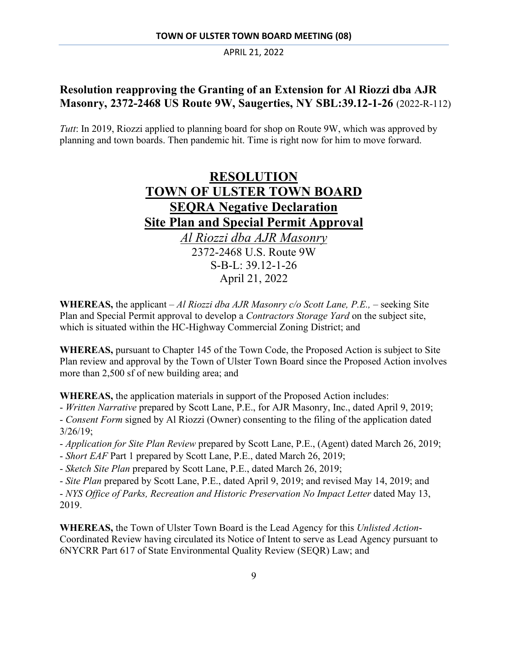## **Resolution reapproving the Granting of an Extension for Al Riozzi dba AJR Masonry, 2372-2468 US Route 9W, Saugerties, NY SBL:39.12-1-26** (2022-R-112)

*Tutt*: In 2019, Riozzi applied to planning board for shop on Route 9W, which was approved by planning and town boards. Then pandemic hit. Time is right now for him to move forward.



**WHEREAS,** the applicant – *Al Riozzi dba AJR Masonry c/o Scott Lane, P.E.*, – seeking Site Plan and Special Permit approval to develop a *Contractors Storage Yard* on the subject site, which is situated within the HC-Highway Commercial Zoning District; and

**WHEREAS,** pursuant to Chapter 145 of the Town Code, the Proposed Action is subject to Site Plan review and approval by the Town of Ulster Town Board since the Proposed Action involves more than 2,500 sf of new building area; and

**WHEREAS,** the application materials in support of the Proposed Action includes:

- *Written Narrative* prepared by Scott Lane, P.E., for AJR Masonry, Inc., dated April 9, 2019;

- *Consent Form* signed by Al Riozzi (Owner) consenting to the filing of the application dated 3/26/19;

- *Application for Site Plan Review* prepared by Scott Lane, P.E., (Agent) dated March 26, 2019;
- *Short EAF* Part 1 prepared by Scott Lane, P.E., dated March 26, 2019;
- *Sketch Site Plan* prepared by Scott Lane, P.E., dated March 26, 2019;

- *Site Plan* prepared by Scott Lane, P.E., dated April 9, 2019; and revised May 14, 2019; and - *NYS Office of Parks, Recreation and Historic Preservation No Impact Letter dated May 13,* 2019.

**WHEREAS,** the Town of Ulster Town Board is the Lead Agency for this *Unlisted Action*-Coordinated Review having circulated its Notice of Intent to serve as Lead Agency pursuant to 6NYCRR Part 617 of State Environmental Quality Review (SEQR) Law; and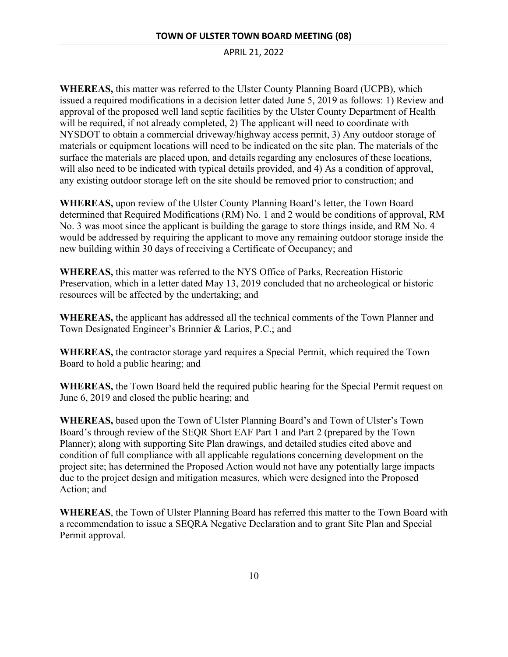**WHEREAS,** this matter was referred to the Ulster County Planning Board (UCPB), which issued a required modifications in a decision letter dated June 5, 2019 as follows: 1) Review and approval of the proposed well land septic facilities by the Ulster County Department of Health will be required, if not already completed, 2) The applicant will need to coordinate with NYSDOT to obtain a commercial driveway/highway access permit, 3) Any outdoor storage of materials or equipment locations will need to be indicated on the site plan. The materials of the surface the materials are placed upon, and details regarding any enclosures of these locations, will also need to be indicated with typical details provided, and 4) As a condition of approval, any existing outdoor storage left on the site should be removed prior to construction; and

**WHEREAS,** upon review of the Ulster County Planning Board's letter, the Town Board determined that Required Modifications (RM) No. 1 and 2 would be conditions of approval, RM No. 3 was moot since the applicant is building the garage to store things inside, and RM No. 4 would be addressed by requiring the applicant to move any remaining outdoor storage inside the new building within 30 days of receiving a Certificate of Occupancy; and

**WHEREAS,** this matter was referred to the NYS Office of Parks, Recreation Historic Preservation, which in a letter dated May 13, 2019 concluded that no archeological or historic resources will be affected by the undertaking; and

**WHEREAS,** the applicant has addressed all the technical comments of the Town Planner and Town Designated Engineer's Brinnier & Larios, P.C.; and

**WHEREAS,** the contractor storage yard requires a Special Permit, which required the Town Board to hold a public hearing; and

**WHEREAS,** the Town Board held the required public hearing for the Special Permit request on June 6, 2019 and closed the public hearing; and

**WHEREAS,** based upon the Town of Ulster Planning Board's and Town of Ulster's Town Board's through review of the SEQR Short EAF Part 1 and Part 2 (prepared by the Town Planner); along with supporting Site Plan drawings, and detailed studies cited above and condition of full compliance with all applicable regulations concerning development on the project site; has determined the Proposed Action would not have any potentially large impacts due to the project design and mitigation measures, which were designed into the Proposed Action; and

**WHEREAS**, the Town of Ulster Planning Board has referred this matter to the Town Board with a recommendation to issue a SEQRA Negative Declaration and to grant Site Plan and Special Permit approval.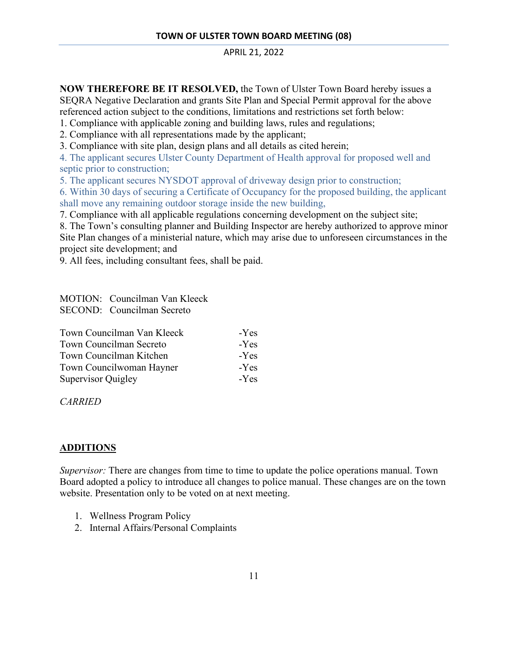**NOW THEREFORE BE IT RESOLVED,** the Town of Ulster Town Board hereby issues a SEQRA Negative Declaration and grants Site Plan and Special Permit approval for the above referenced action subject to the conditions, limitations and restrictions set forth below:

1. Compliance with applicable zoning and building laws, rules and regulations;

2. Compliance with all representations made by the applicant;

3. Compliance with site plan, design plans and all details as cited herein;

4. The applicant secures Ulster County Department of Health approval for proposed well and septic prior to construction;

5. The applicant secures NYSDOT approval of driveway design prior to construction;

6. Within 30 days of securing a Certificate of Occupancy for the proposed building, the applicant shall move any remaining outdoor storage inside the new building,

7. Compliance with all applicable regulations concerning development on the subject site;

8. The Town's consulting planner and Building Inspector are hereby authorized to approve minor Site Plan changes of a ministerial nature, which may arise due to unforeseen circumstances in the project site development; and

9. All fees, including consultant fees, shall be paid.

MOTION: Councilman Van Kleeck SECOND: Councilman Secreto

| Town Councilman Van Kleeck     | -Yes |
|--------------------------------|------|
| <b>Town Councilman Secreto</b> | -Yes |
| Town Councilman Kitchen        | -Yes |
| Town Councilwoman Hayner       | -Yes |
| Supervisor Quigley             | -Yes |

*CARRIED* 

#### **ADDITIONS**

*Supervisor:* There are changes from time to time to update the police operations manual. Town Board adopted a policy to introduce all changes to police manual. These changes are on the town website. Presentation only to be voted on at next meeting.

- 1. Wellness Program Policy
- 2. Internal Affairs/Personal Complaints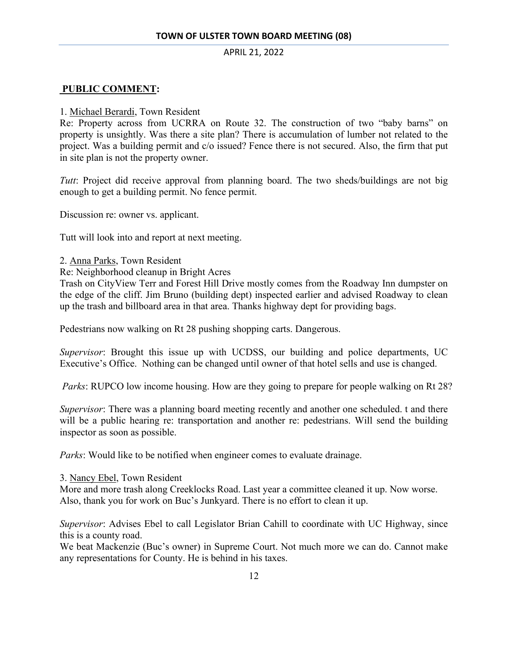### **PUBLIC COMMENT:**

#### 1. Michael Berardi, Town Resident

Re: Property across from UCRRA on Route 32. The construction of two "baby barns" on property is unsightly. Was there a site plan? There is accumulation of lumber not related to the project. Was a building permit and c/o issued? Fence there is not secured. Also, the firm that put in site plan is not the property owner.

*Tutt*: Project did receive approval from planning board. The two sheds/buildings are not big enough to get a building permit. No fence permit.

Discussion re: owner vs. applicant.

Tutt will look into and report at next meeting.

- 2. Anna Parks, Town Resident
- Re: Neighborhood cleanup in Bright Acres

Trash on CityView Terr and Forest Hill Drive mostly comes from the Roadway Inn dumpster on the edge of the cliff. Jim Bruno (building dept) inspected earlier and advised Roadway to clean up the trash and billboard area in that area. Thanks highway dept for providing bags.

Pedestrians now walking on Rt 28 pushing shopping carts. Dangerous.

*Supervisor*: Brought this issue up with UCDSS, our building and police departments, UC Executive's Office. Nothing can be changed until owner of that hotel sells and use is changed.

*Parks*: RUPCO low income housing. How are they going to prepare for people walking on Rt 28?

*Supervisor*: There was a planning board meeting recently and another one scheduled. t and there will be a public hearing re: transportation and another re: pedestrians. Will send the building inspector as soon as possible.

*Parks*: Would like to be notified when engineer comes to evaluate drainage.

#### 3. Nancy Ebel, Town Resident

More and more trash along Creeklocks Road. Last year a committee cleaned it up. Now worse. Also, thank you for work on Buc's Junkyard. There is no effort to clean it up.

*Supervisor*: Advises Ebel to call Legislator Brian Cahill to coordinate with UC Highway, since this is a county road.

We beat Mackenzie (Buc's owner) in Supreme Court. Not much more we can do. Cannot make any representations for County. He is behind in his taxes.